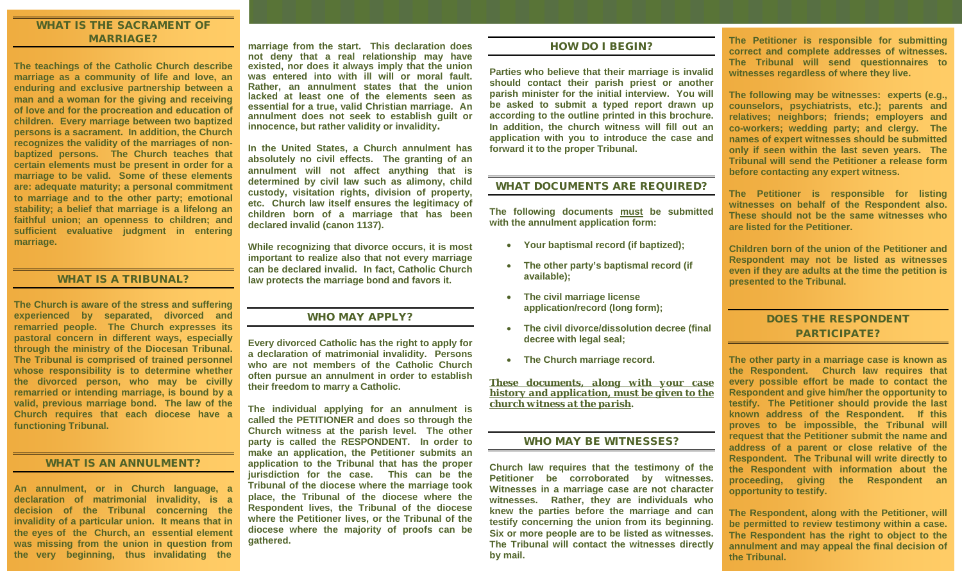## WHAT IS THE SACRAMENT OF MARRIAGE?

**The teachings of the Catholic Church describe marriage as a community of life and love, an enduring and exclusive partnership between a man and a woman for the giving and receiving of love and for the procreation and education of children. Every marriage between two baptized persons is a sacrament. In addition, the Church recognizes the validity of the marriages of nonbaptized persons. The Church teaches that certain elements must be present in order for a marriage to be valid. Some of these elements are: adequate maturity; a personal commitment to marriage and to the other party; emotional stability; a belief that marriage is a lifelong an faithful union; an openness to children; and sufficient evaluative judgment in entering marriage.**

#### WHAT IS A TRIBUNAL?

**The Church is aware of the stress and suffering experienced by separated, divorced and remarried people. The Church expresses its pastoral concern in different ways, especially through the ministry of the Diocesan Tribunal. The Tribunal is comprised of trained personnel whose responsibility is to determine whether the divorced person, who may be civilly remarried or intending marriage, is bound by a valid, previous marriage bond. The law of the Church requires that each diocese have a functioning Tribunal.**

## WHAT IS AN ANNULMENT?

**An annulment, or in Church language, a declaration of matrimonial invalidity, is a decision of the Tribunal concerning the invalidity of a particular union. It means that in the eyes of the Church, an essential element was missing from the union in question from the very beginning, thus invalidating the** 

**marriage from the start. This declaration does not deny that a real relationship may have existed, nor does it always imply that the union was entered into with ill will or moral fault. Rather, an annulment states that the union lacked at least one of the elements seen as essential for a true, valid Christian marriage. An annulment does not seek to establish guilt or innocence, but rather validity or invalidity**.

**In the United States, a Church annulment has absolutely no civil effects. The granting of an annulment will not affect anything that is determined by civil law such as alimony, child custody, visitation rights, division of property, etc. Church law itself ensures the legitimacy of children born of a marriage that has been declared invalid (canon 1137).** 

**While recognizing that divorce occurs, it is most important to realize also that not every marriage can be declared invalid. In fact, Catholic Church law protects the marriage bond and favors it.**

## WHO MAY APPLY?

**Every divorced Catholic has the right to apply for a declaration of matrimonial invalidity. Persons who are not members of the Catholic Church often pursue an annulment in order to establish their freedom to marry a Catholic.** 

**The individual applying for an annulment is called the PETITIONER and does so through the Church witness at the parish level. The other party is called the RESPONDENT. In order to make an application, the Petitioner submits an application to the Tribunal that has the proper jurisdiction for the case. This can be the Tribunal of the diocese where the marriage took place, the Tribunal of the diocese where the Respondent lives, the Tribunal of the diocese where the Petitioner lives, or the Tribunal of the diocese where the majority of proofs can be gathered.** 

#### HOW DO I BEGIN?

**Parties who believe that their marriage is invalid should contact their parish priest or another parish minister for the initial interview. You will be asked to submit a typed report drawn up according to the outline printed in this brochure. In addition, the church witness will fill out an application with you to introduce the case and forward it to the proper Tribunal.**

## WHAT DOCUMENTS ARE REQUIRED?

**The following documents must be submitted with the annulment application form:**

- **Your baptismal record (if baptized);**
- **The other party's baptismal record (if available);**
- **The civil marriage license application/record (long form);**
- **The civil divorce/dissolution decree (final decree with legal seal;**
- **The Church marriage record.**

*These documents, along with your case history and application, must be given to the church witness at the parish***.**

## WHO MAY BE WITNESSES?

**Church law requires that the testimony of the Petitioner be corroborated by witnesses. Witnesses in a marriage case are not character witnesses. Rather, they are individuals who knew the parties before the marriage and can testify concerning the union from its beginning. Six or more people are to be listed as witnesses. The Tribunal will contact the witnesses directly by mail.** 

**The Petitioner is responsible for submitting correct and complete addresses of witnesses. The Tribunal will send questionnaires to witnesses regardless of where they live.** 

**The following may be witnesses: experts (e.g., counselors, psychiatrists, etc.); parents and relatives; neighbors; friends; employers and co-workers; wedding party; and clergy. The names of expert witnesses should be submitted only if seen within the last seven years. The Tribunal will send the Petitioner a release form before contacting any expert witness.** 

**The Petitioner is responsible for listing witnesses on behalf of the Respondent also. These should not be the same witnesses who are listed for the Petitioner.** 

**Children born of the union of the Petitioner and Respondent may not be listed as witnesses even if they are adults at the time the petition is presented to the Tribunal.**

## DOES THE RESPONDENT PARTICIPATE?

**The other party in a marriage case is known as the Respondent. Church law requires that every possible effort be made to contact the Respondent and give him/her the opportunity to testify. The Petitioner should provide the last known address of the Respondent. If this proves to be impossible, the Tribunal will request that the Petitioner submit the name and address of a parent or close relative of the Respondent. The Tribunal will write directly to the Respondent with information about the proceeding, giving the Respondent an opportunity to testify.** 

**The Respondent, along with the Petitioner, will be permitted to review testimony within a case. The Respondent has the right to object to the annulment and may appeal the final decision of the Tribunal.**